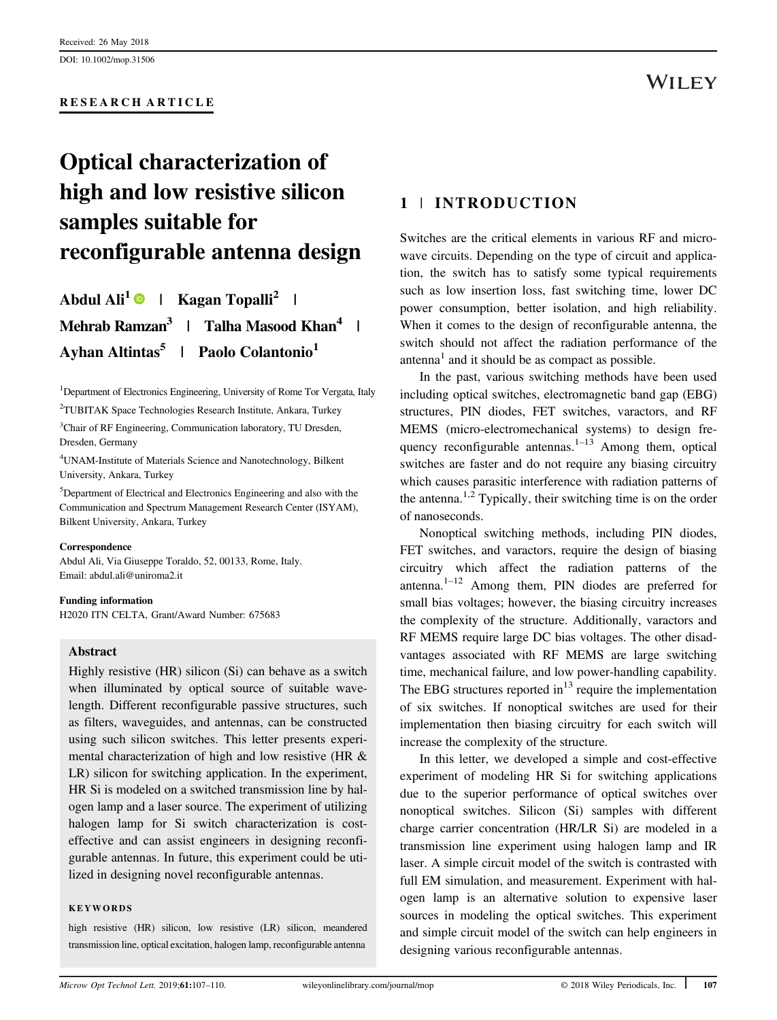## RESEARCH ARTICLE

## WILEY

# Optical characterization of high and low resistive silicon samples suitable for reconfigurable antenna design

| Abdul Ali <sup>1</sup> •   Kagan Topalli <sup>2</sup>       |                                                             |  |
|-------------------------------------------------------------|-------------------------------------------------------------|--|
|                                                             | Mehrab Ramzan <sup>3</sup>   Talha Masood Khan <sup>4</sup> |  |
| Ayhan Altintas <sup>5</sup>   Paolo Colantonio <sup>1</sup> |                                                             |  |

<sup>1</sup>Department of Electronics Engineering, University of Rome Tor Vergata, Italy <sup>2</sup>TUBITAK Space Technologies Research Institute, Ankara, Turkey

3 Chair of RF Engineering, Communication laboratory, TU Dresden, Dresden, Germany

4 UNAM-Institute of Materials Science and Nanotechnology, Bilkent University, Ankara, Turkey

<sup>5</sup>Department of Electrical and Electronics Engineering and also with the Communication and Spectrum Management Research Center (ISYAM), Bilkent University, Ankara, Turkey

#### Correspondence

Abdul Ali, Via Giuseppe Toraldo, 52, 00133, Rome, Italy. Email: abdul.ali@uniroma2.it

#### Funding information

H2020 ITN CELTA, Grant/Award Number: 675683

## Abstract

Highly resistive (HR) silicon (Si) can behave as a switch when illuminated by optical source of suitable wavelength. Different reconfigurable passive structures, such as filters, waveguides, and antennas, can be constructed using such silicon switches. This letter presents experimental characterization of high and low resistive (HR & LR) silicon for switching application. In the experiment, HR Si is modeled on a switched transmission line by halogen lamp and a laser source. The experiment of utilizing halogen lamp for Si switch characterization is costeffective and can assist engineers in designing reconfigurable antennas. In future, this experiment could be utilized in designing novel reconfigurable antennas.

### KEYWORDS

high resistive (HR) silicon, low resistive (LR) silicon, meandered transmission line, optical excitation, halogen lamp, reconfigurable antenna

## 1 | INTRODUCTION

Switches are the critical elements in various RF and microwave circuits. Depending on the type of circuit and application, the switch has to satisfy some typical requirements such as low insertion loss, fast switching time, lower DC power consumption, better isolation, and high reliability. When it comes to the design of reconfigurable antenna, the switch should not affect the radiation performance of the antenna<sup>1</sup> and it should be as compact as possible.

In the past, various switching methods have been used including optical switches, electromagnetic band gap (EBG) structures, PIN diodes, FET switches, varactors, and RF MEMS (micro-electromechanical systems) to design frequency reconfigurable antennas. $1-13$  Among them, optical switches are faster and do not require any biasing circuitry which causes parasitic interference with radiation patterns of the antenna.<sup>1,2</sup> Typically, their switching time is on the order of nanoseconds.

Nonoptical switching methods, including PIN diodes, FET switches, and varactors, require the design of biasing circuitry which affect the radiation patterns of the antenna. $1-12$  Among them, PIN diodes are preferred for small bias voltages; however, the biasing circuitry increases the complexity of the structure. Additionally, varactors and RF MEMS require large DC bias voltages. The other disadvantages associated with RF MEMS are large switching time, mechanical failure, and low power-handling capability. The EBG structures reported in $^{13}$  require the implementation of six switches. If nonoptical switches are used for their implementation then biasing circuitry for each switch will increase the complexity of the structure.

In this letter, we developed a simple and cost-effective experiment of modeling HR Si for switching applications due to the superior performance of optical switches over nonoptical switches. Silicon (Si) samples with different charge carrier concentration (HR/LR Si) are modeled in a transmission line experiment using halogen lamp and IR laser. A simple circuit model of the switch is contrasted with full EM simulation, and measurement. Experiment with halogen lamp is an alternative solution to expensive laser sources in modeling the optical switches. This experiment and simple circuit model of the switch can help engineers in designing various reconfigurable antennas.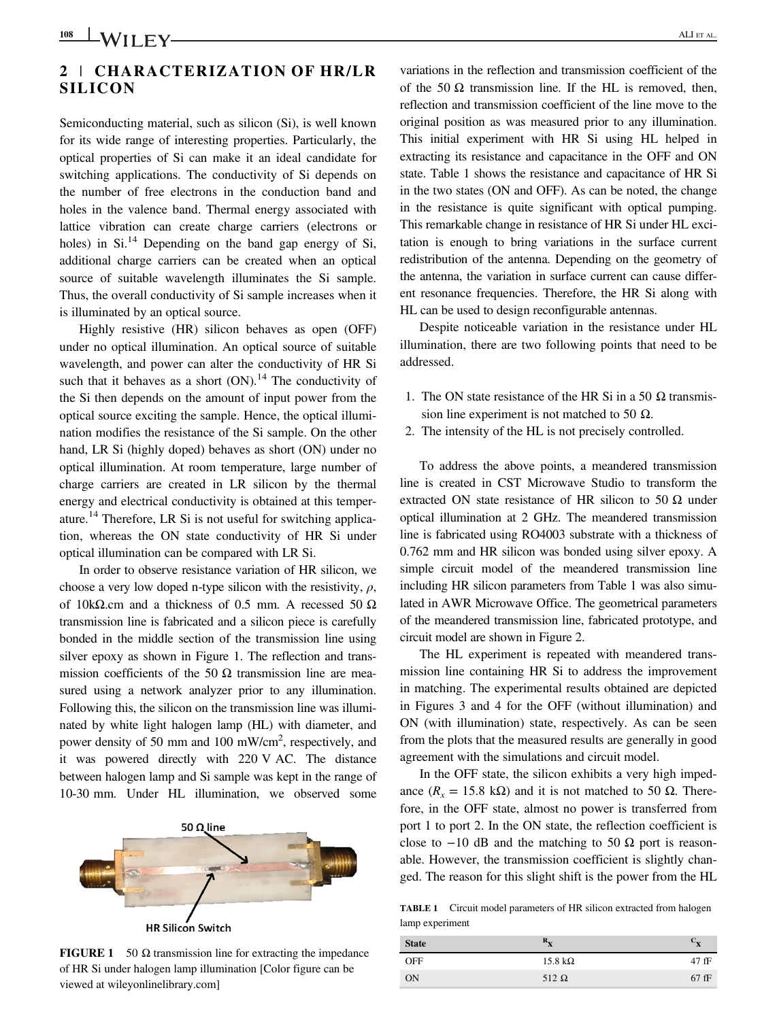## 2 | CHARACTERIZATION OF HR/LR SILICON

Semiconducting material, such as silicon (Si), is well known for its wide range of interesting properties. Particularly, the optical properties of Si can make it an ideal candidate for switching applications. The conductivity of Si depends on the number of free electrons in the conduction band and holes in the valence band. Thermal energy associated with lattice vibration can create charge carriers (electrons or holes) in  $Si^{14}$  Depending on the band gap energy of Si, additional charge carriers can be created when an optical source of suitable wavelength illuminates the Si sample. Thus, the overall conductivity of Si sample increases when it is illuminated by an optical source.

Highly resistive (HR) silicon behaves as open (OFF) under no optical illumination. An optical source of suitable wavelength, and power can alter the conductivity of HR Si such that it behaves as a short  $(ON)$ .<sup>14</sup> The conductivity of the Si then depends on the amount of input power from the optical source exciting the sample. Hence, the optical illumination modifies the resistance of the Si sample. On the other hand, LR Si (highly doped) behaves as short (ON) under no optical illumination. At room temperature, large number of charge carriers are created in LR silicon by the thermal energy and electrical conductivity is obtained at this temperature.<sup>14</sup> Therefore, LR Si is not useful for switching application, whereas the ON state conductivity of HR Si under optical illumination can be compared with LR Si.

In order to observe resistance variation of HR silicon, we choose a very low doped n-type silicon with the resistivity,  $\rho$ , of 10kΩ.cm and a thickness of 0.5 mm. A recessed 50  $\Omega$ transmission line is fabricated and a silicon piece is carefully bonded in the middle section of the transmission line using silver epoxy as shown in Figure 1. The reflection and transmission coefficients of the 50  $\Omega$  transmission line are measured using a network analyzer prior to any illumination. Following this, the silicon on the transmission line was illuminated by white light halogen lamp (HL) with diameter, and power density of 50 mm and 100 mW/cm<sup>2</sup>, respectively, and it was powered directly with 220 V AC. The distance between halogen lamp and Si sample was kept in the range of 10-30 mm. Under HL illumination, we observed some



**HR Silicon Switch** 

**FIGURE 1** 50  $\Omega$  transmission line for extracting the impedance of HR Si under halogen lamp illumination [Color figure can be viewed at [wileyonlinelibrary.com\]](http://wileyonlinelibrary.com)

variations in the reflection and transmission coefficient of the of the 50  $\Omega$  transmission line. If the HL is removed, then, reflection and transmission coefficient of the line move to the original position as was measured prior to any illumination. This initial experiment with HR Si using HL helped in extracting its resistance and capacitance in the OFF and ON state. Table 1 shows the resistance and capacitance of HR Si in the two states (ON and OFF). As can be noted, the change in the resistance is quite significant with optical pumping. This remarkable change in resistance of HR Si under HL excitation is enough to bring variations in the surface current redistribution of the antenna. Depending on the geometry of the antenna, the variation in surface current can cause different resonance frequencies. Therefore, the HR Si along with HL can be used to design reconfigurable antennas.

Despite noticeable variation in the resistance under HL illumination, there are two following points that need to be addressed.

- 1. The ON state resistance of the HR Si in a 50  $\Omega$  transmission line experiment is not matched to 50  $\Omega$ .
- 2. The intensity of the HL is not precisely controlled.

To address the above points, a meandered transmission line is created in CST Microwave Studio to transform the extracted ON state resistance of HR silicon to 50  $\Omega$  under optical illumination at 2 GHz. The meandered transmission line is fabricated using RO4003 substrate with a thickness of 0.762 mm and HR silicon was bonded using silver epoxy. A simple circuit model of the meandered transmission line including HR silicon parameters from Table 1 was also simulated in AWR Microwave Office. The geometrical parameters of the meandered transmission line, fabricated prototype, and circuit model are shown in Figure 2.

The HL experiment is repeated with meandered transmission line containing HR Si to address the improvement in matching. The experimental results obtained are depicted in Figures 3 and 4 for the OFF (without illumination) and ON (with illumination) state, respectively. As can be seen from the plots that the measured results are generally in good agreement with the simulations and circuit model.

In the OFF state, the silicon exhibits a very high impedance ( $R_x = 15.8$  kΩ) and it is not matched to 50 Ω. Therefore, in the OFF state, almost no power is transferred from port 1 to port 2. In the ON state, the reflection coefficient is close to  $-10$  dB and the matching to 50  $\Omega$  port is reasonable. However, the transmission coefficient is slightly changed. The reason for this slight shift is the power from the HL

TABLE 1 Circuit model parameters of HR silicon extracted from halogen lamp experiment

| <b>State</b> | $R_{\rm v}$            | $\mathbf{c}_{\mathbf{x}}$ |
|--------------|------------------------|---------------------------|
| <b>OFF</b>   | $15.8 \text{ k}\Omega$ | 47 fF                     |
| <b>ON</b>    | 512 $\Omega$           | $67$ fF                   |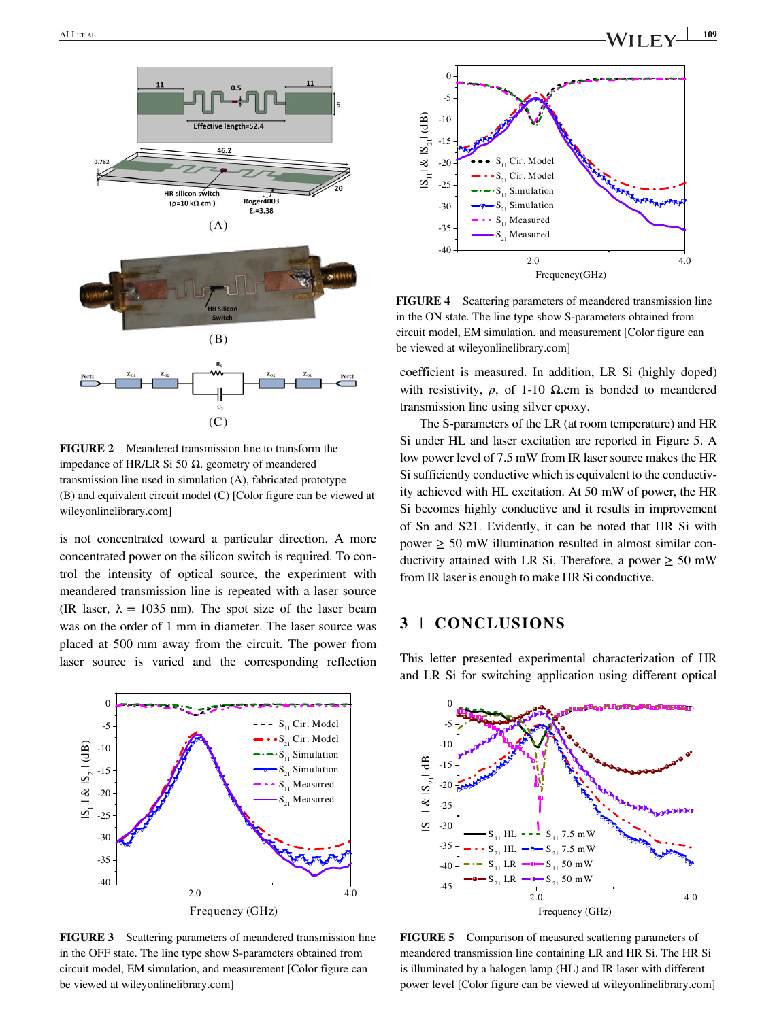

FIGURE 2 Meandered transmission line to transform the impedance of HR/LR Si 50 Ω. geometry of meandered transmission line used in simulation (A), fabricated prototype (B) and equivalent circuit model (C) [Color figure can be viewed at [wileyonlinelibrary.com\]](http://wileyonlinelibrary.com)

is not concentrated toward a particular direction. A more concentrated power on the silicon switch is required. To control the intensity of optical source, the experiment with meandered transmission line is repeated with a laser source (IR laser,  $\lambda = 1035$  nm). The spot size of the laser beam was on the order of 1 mm in diameter. The laser source was placed at 500 mm away from the circuit. The power from laser source is varied and the corresponding reflection



FIGURE 3 Scattering parameters of meandered transmission line in the OFF state. The line type show S-parameters obtained from circuit model, EM simulation, and measurement [Color figure can be viewed at [wileyonlinelibrary.com](http://wileyonlinelibrary.com)]



FIGURE 4 Scattering parameters of meandered transmission line in the ON state. The line type show S-parameters obtained from circuit model, EM simulation, and measurement [Color figure can be viewed at [wileyonlinelibrary.com](http://wileyonlinelibrary.com)]

coefficient is measured. In addition, LR Si (highly doped) with resistivity,  $\rho$ , of 1-10 Ω.cm is bonded to meandered transmission line using silver epoxy.

The S-parameters of the LR (at room temperature) and HR Si under HL and laser excitation are reported in Figure 5. A low power level of 7.5 mW from IR laser source makes the HR Si sufficiently conductive which is equivalent to the conductivity achieved with HL excitation. At 50 mW of power, the HR Si becomes highly conductive and it results in improvement of Sn and S21. Evidently, it can be noted that HR Si with power  $\geq$  50 mW illumination resulted in almost similar conductivity attained with LR Si. Therefore, a power  $\geq 50$  mW from IR laser is enough to make HR Si conductive.

## 3 | CONCLUSIONS

This letter presented experimental characterization of HR and LR Si for switching application using different optical



FIGURE 5 Comparison of measured scattering parameters of meandered transmission line containing LR and HR Si. The HR Si is illuminated by a halogen lamp (HL) and IR laser with different power level [Color figure can be viewed at [wileyonlinelibrary.com](http://wileyonlinelibrary.com)]